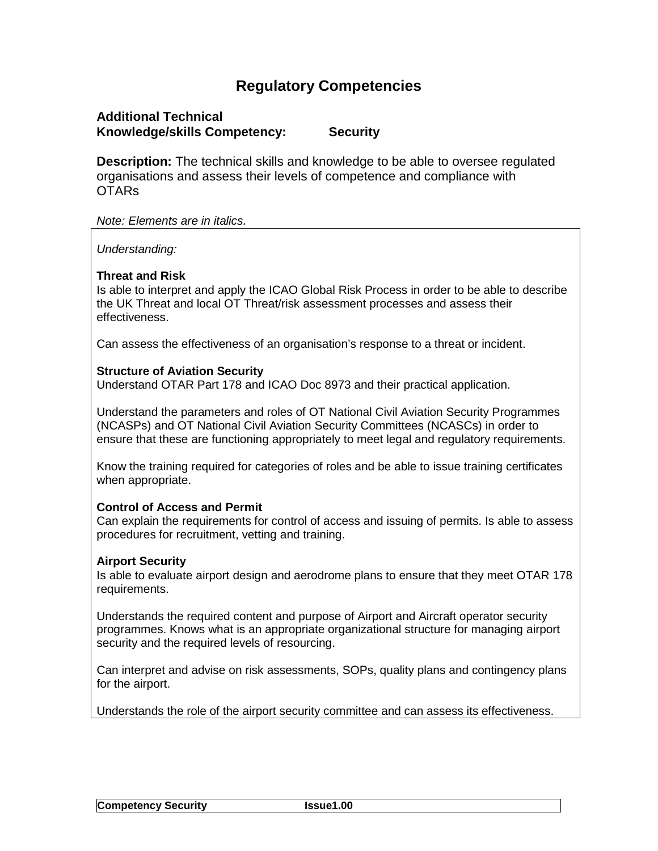# **Regulatory Competencies**

# **Additional Technical Knowledge/skills Competency: Security**

**Description:** The technical skills and knowledge to be able to oversee regulated organisations and assess their levels of competence and compliance with OTARs

*Note: Elements are in italics.*

*Understanding:*

# **Threat and Risk**

Is able to interpret and apply the ICAO Global Risk Process in order to be able to describe the UK Threat and local OT Threat/risk assessment processes and assess their effectiveness.

Can assess the effectiveness of an organisation's response to a threat or incident.

#### **Structure of Aviation Security**

Understand OTAR Part 178 and ICAO Doc 8973 and their practical application.

Understand the parameters and roles of OT National Civil Aviation Security Programmes (NCASPs) and OT National Civil Aviation Security Committees (NCASCs) in order to ensure that these are functioning appropriately to meet legal and regulatory requirements.

Know the training required for categories of roles and be able to issue training certificates when appropriate.

# **Control of Access and Permit**

Can explain the requirements for control of access and issuing of permits. Is able to assess procedures for recruitment, vetting and training.

# **Airport Security**

Is able to evaluate airport design and aerodrome plans to ensure that they meet OTAR 178 requirements.

Understands the required content and purpose of Airport and Aircraft operator security programmes. Knows what is an appropriate organizational structure for managing airport security and the required levels of resourcing.

Can interpret and advise on risk assessments, SOPs, quality plans and contingency plans for the airport.

Understands the role of the airport security committee and can assess its effectiveness.